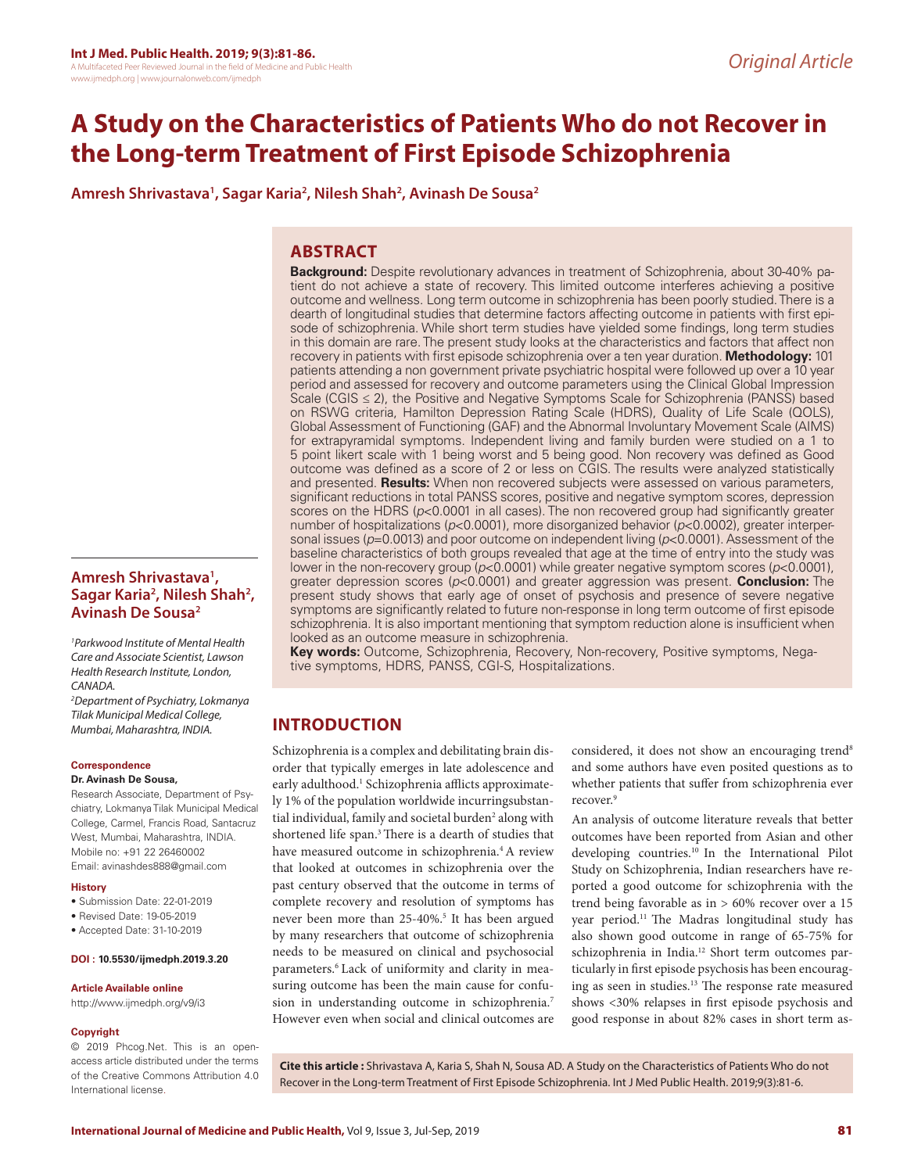# **A Study on the Characteristics of Patients Who do not Recover in the Long-term Treatment of First Episode Schizophrenia**

**Amresh Shrivastava1 , Sagar Karia2 , Nilesh Shah2 , Avinash De Sousa2** 

# **ABSTRACT**

**Background:** Despite revolutionary advances in treatment of Schizophrenia, about 30-40% patient do not achieve a state of recovery. This limited outcome interferes achieving a positive outcome and wellness. Long term outcome in schizophrenia has been poorly studied. There is a dearth of longitudinal studies that determine factors affecting outcome in patients with first episode of schizophrenia. While short term studies have yielded some findings, long term studies in this domain are rare. The present study looks at the characteristics and factors that affect non recovery in patients with first episode schizophrenia over a ten year duration. **Methodology:** 101 patients attending a non government private psychiatric hospital were followed up over a 10 year period and assessed for recovery and outcome parameters using the Clinical Global Impression Scale (CGIS ≤ 2), the Positive and Negative Symptoms Scale for Schizophrenia (PANSS) based on RSWG criteria, Hamilton Depression Rating Scale (HDRS), Quality of Life Scale (QOLS), Global Assessment of Functioning (GAF) and the Abnormal Involuntary Movement Scale (AIMS) for extrapyramidal symptoms. Independent living and family burden were studied on a 1 to 5 point likert scale with 1 being worst and 5 being good. Non recovery was defined as Good outcome was defined as a score of 2 or less on CGIS. The results were analyzed statistically and presented. **Results:** When non recovered subjects were assessed on various parameters, significant reductions in total PANSS scores, positive and negative symptom scores, depression scores on the HDRS (*p*<0.0001 in all cases). The non recovered group had significantly greater number of hospitalizations (*p*<0.0001), more disorganized behavior (*p*<0.0002), greater interpersonal issues ( $p=0.0013$ ) and poor outcome on independent living ( $p<0.0001$ ). Assessment of the baseline characteristics of both groups revealed that age at the time of entry into the study was lower in the non-recovery group (*p*<0.0001) while greater negative symptom scores (*p*<0.0001), greater depression scores (*p*<0.0001) and greater aggression was present. **Conclusion:** The present study shows that early age of onset of psychosis and presence of severe negative symptoms are significantly related to future non-response in long term outcome of first episode schizophrenia. It is also important mentioning that symptom reduction alone is insufficient when looked as an outcome measure in schizophrenia.

**Key words:** Outcome, Schizophrenia, Recovery, Non-recovery, Positive symptoms, Negative symptoms, HDRS, PANSS, CGI-S, Hospitalizations.

# **INTRODUCTION**

Schizophrenia is a complex and debilitating brain disorder that typically emerges in late adolescence and early adulthood.<sup>1</sup> Schizophrenia afflicts approximately 1% of the population worldwide incurringsubstantial individual, family and societal burden<sup>2</sup> along with shortened life span.3 There is a dearth of studies that have measured outcome in schizophrenia.<sup>4</sup> A review that looked at outcomes in schizophrenia over the past century observed that the outcome in terms of complete recovery and resolution of symptoms has never been more than 25-40%.<sup>5</sup> It has been argued by many researchers that outcome of schizophrenia needs to be measured on clinical and psychosocial parameters.<sup>6</sup> Lack of uniformity and clarity in measuring outcome has been the main cause for confusion in understanding outcome in schizophrenia.7 However even when social and clinical outcomes are

considered, it does not show an encouraging trend<sup>8</sup> and some authors have even posited questions as to whether patients that suffer from schizophrenia ever recover.<sup>9</sup>

An analysis of outcome literature reveals that better outcomes have been reported from Asian and other developing countries.10 In the International Pilot Study on Schizophrenia, Indian researchers have reported a good outcome for schizophrenia with the trend being favorable as in > 60% recover over a 15 year period.<sup>11</sup> The Madras longitudinal study has also shown good outcome in range of 65-75% for schizophrenia in India.12 Short term outcomes particularly in first episode psychosis has been encouraging as seen in studies.13 The response rate measured shows <30% relapses in first episode psychosis and good response in about 82% cases in short term as-

© 2019 Phcog.Net. This is an openaccess article distributed under the terms of the Creative Commons Attribution 4.0 International license.

**Amresh Shrivastava1 ,**  Sagar Karia<sup>2</sup>, Nilesh Shah<sup>2</sup>,

*1 Parkwood Institute of Mental Health Care and Associate Scientist, Lawson Health Research Institute, London,* 

*2 Department of Psychiatry, Lokmanya Tilak Municipal Medical College, Mumbai, Maharashtra, INDIA.*

Research Associate, Department of Psychiatry, Lokmanya Tilak Municipal Medical College, Carmel, Francis Road, Santacruz West, Mumbai, Maharashtra, INDIA. Mobile no: +91 22 26460002 Email: avinashdes888@gmail.com

• Submission Date: 22-01-2019 • Revised Date: 19-05-2019 • Accepted Date: 31-10-2019

**DOI : 10.5530/ijmedph.2019.3.20**

**Article Available online**  http://www.ijmedph.org/v9/i3

**Avinash De Sousa2** 

*CANADA.*

**History**

**Copyright**

**Correspondence Dr. Avinash De Sousa,**

> **Cite this article :** Shrivastava A, Karia S, Shah N, Sousa AD. A Study on the Characteristics of Patients Who do not Recover in the Long-term Treatment of First Episode Schizophrenia. Int J Med Public Health. 2019;9(3):81-6.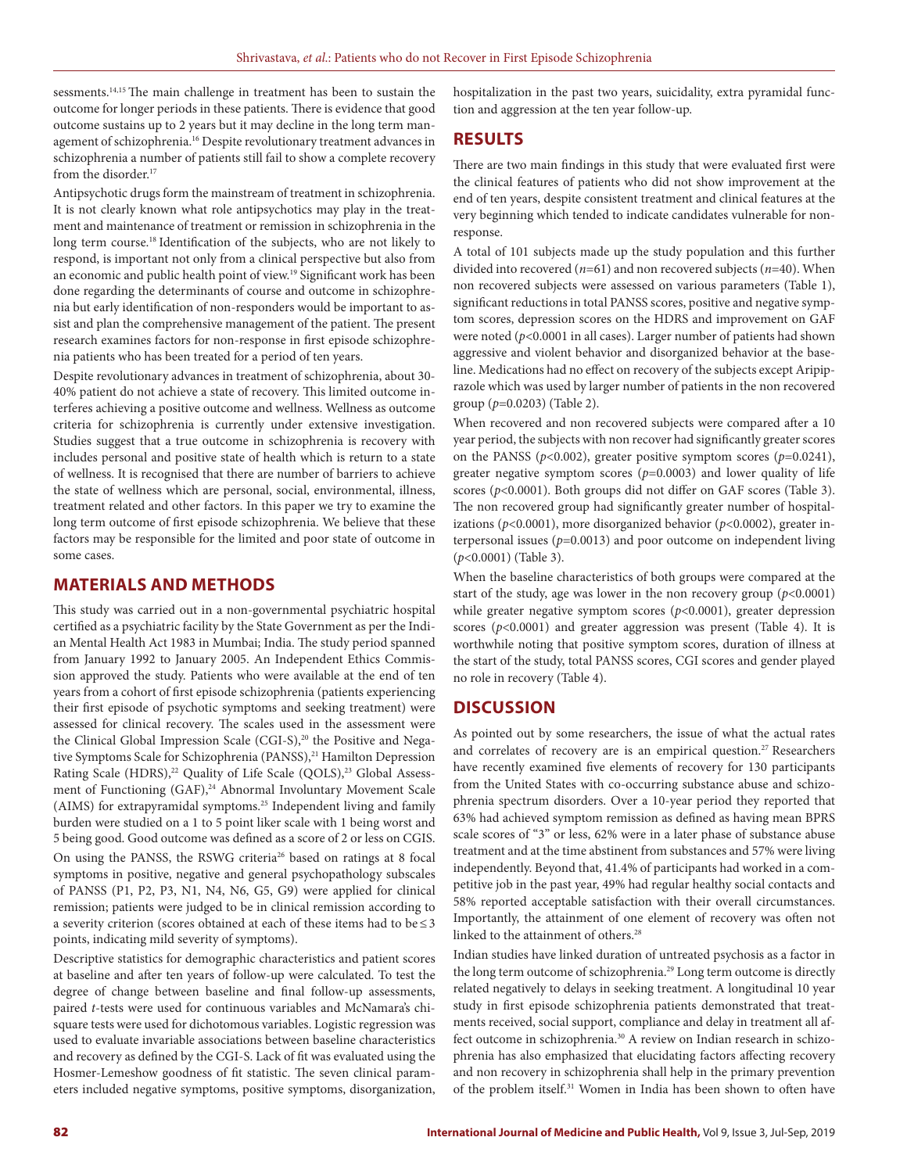sessments.14,15 The main challenge in treatment has been to sustain the outcome for longer periods in these patients. There is evidence that good outcome sustains up to 2 years but it may decline in the long term management of schizophrenia.16 Despite revolutionary treatment advances in schizophrenia a number of patients still fail to show a complete recovery from the disorder.<sup>17</sup>

Antipsychotic drugs form the mainstream of treatment in schizophrenia. It is not clearly known what role antipsychotics may play in the treatment and maintenance of treatment or remission in schizophrenia in the long term course.<sup>18</sup> Identification of the subjects, who are not likely to respond, is important not only from a clinical perspective but also from an economic and public health point of view.19 Significant work has been done regarding the determinants of course and outcome in schizophrenia but early identification of non-responders would be important to assist and plan the comprehensive management of the patient. The present research examines factors for non-response in first episode schizophrenia patients who has been treated for a period of ten years.

Despite revolutionary advances in treatment of schizophrenia, about 30- 40% patient do not achieve a state of recovery. This limited outcome interferes achieving a positive outcome and wellness. Wellness as outcome criteria for schizophrenia is currently under extensive investigation. Studies suggest that a true outcome in schizophrenia is recovery with includes personal and positive state of health which is return to a state of wellness. It is recognised that there are number of barriers to achieve the state of wellness which are personal, social, environmental, illness, treatment related and other factors. In this paper we try to examine the long term outcome of first episode schizophrenia. We believe that these factors may be responsible for the limited and poor state of outcome in some cases.

### **MATERIALS AND METHODS**

This study was carried out in a non-governmental psychiatric hospital certified as a psychiatric facility by the State Government as per the Indian Mental Health Act 1983 in Mumbai; India. The study period spanned from January 1992 to January 2005. An Independent Ethics Commission approved the study. Patients who were available at the end of ten years from a cohort of first episode schizophrenia (patients experiencing their first episode of psychotic symptoms and seeking treatment) were assessed for clinical recovery. The scales used in the assessment were the Clinical Global Impression Scale (CGI-S),<sup>20</sup> the Positive and Negative Symptoms Scale for Schizophrenia (PANSS),<sup>21</sup> Hamilton Depression Rating Scale (HDRS),<sup>22</sup> Quality of Life Scale (QOLS),<sup>23</sup> Global Assessment of Functioning (GAF),<sup>24</sup> Abnormal Involuntary Movement Scale (AIMS) for extrapyramidal symptoms.25 Independent living and family burden were studied on a 1 to 5 point liker scale with 1 being worst and 5 being good. Good outcome was defined as a score of 2 or less on CGIS. On using the PANSS, the RSWG criteria<sup>26</sup> based on ratings at 8 focal symptoms in positive, negative and general psychopathology subscales of PANSS (P1, P2, P3, N1, N4, N6, G5, G9) were applied for clinical remission; patients were judged to be in clinical remission according to a severity criterion (scores obtained at each of these items had to be≤3 points, indicating mild severity of symptoms).

Descriptive statistics for demographic characteristics and patient scores at baseline and after ten years of follow-up were calculated. To test the degree of change between baseline and final follow-up assessments, paired *t*-tests were used for continuous variables and McNamara's chisquare tests were used for dichotomous variables. Logistic regression was used to evaluate invariable associations between baseline characteristics and recovery as defined by the CGI-S. Lack of fit was evaluated using the Hosmer-Lemeshow goodness of fit statistic. The seven clinical parameters included negative symptoms, positive symptoms, disorganization, hospitalization in the past two years, suicidality, extra pyramidal function and aggression at the ten year follow-up.

### **RESULTS**

There are two main findings in this study that were evaluated first were the clinical features of patients who did not show improvement at the end of ten years, despite consistent treatment and clinical features at the very beginning which tended to indicate candidates vulnerable for nonresponse.

A total of 101 subjects made up the study population and this further divided into recovered (*n*=61) and non recovered subjects (*n*=40). When non recovered subjects were assessed on various parameters (Table 1), significant reductions in total PANSS scores, positive and negative symptom scores, depression scores on the HDRS and improvement on GAF were noted (*p*<0.0001 in all cases). Larger number of patients had shown aggressive and violent behavior and disorganized behavior at the baseline. Medications had no effect on recovery of the subjects except Aripiprazole which was used by larger number of patients in the non recovered group (*p*=0.0203) (Table 2).

When recovered and non recovered subjects were compared after a 10 year period, the subjects with non recover had significantly greater scores on the PANSS (*p*<0.002), greater positive symptom scores (*p*=0.0241), greater negative symptom scores (*p*=0.0003) and lower quality of life scores ( $p$ <0.0001). Both groups did not differ on GAF scores (Table 3). The non recovered group had significantly greater number of hospitalizations ( $p<0.0001$ ), more disorganized behavior ( $p<0.0002$ ), greater interpersonal issues  $(p=0.0013)$  and poor outcome on independent living (*p*<0.0001) (Table 3).

When the baseline characteristics of both groups were compared at the start of the study, age was lower in the non recovery group  $(p<0.0001)$ while greater negative symptom scores (*p*<0.0001), greater depression scores (*p*<0.0001) and greater aggression was present (Table 4). It is worthwhile noting that positive symptom scores, duration of illness at the start of the study, total PANSS scores, CGI scores and gender played no role in recovery (Table 4).

# **DISCUSSION**

As pointed out by some researchers, the issue of what the actual rates and correlates of recovery are is an empirical question.<sup>27</sup> Researchers have recently examined five elements of recovery for 130 participants from the United States with co-occurring substance abuse and schizophrenia spectrum disorders. Over a 10-year period they reported that 63% had achieved symptom remission as defined as having mean BPRS scale scores of "3" or less, 62% were in a later phase of substance abuse treatment and at the time abstinent from substances and 57% were living independently. Beyond that, 41.4% of participants had worked in a competitive job in the past year, 49% had regular healthy social contacts and 58% reported acceptable satisfaction with their overall circumstances. Importantly, the attainment of one element of recovery was often not linked to the attainment of others.<sup>28</sup>

Indian studies have linked duration of untreated psychosis as a factor in the long term outcome of schizophrenia.<sup>29</sup> Long term outcome is directly related negatively to delays in seeking treatment. A longitudinal 10 year study in first episode schizophrenia patients demonstrated that treatments received, social support, compliance and delay in treatment all affect outcome in schizophrenia.<sup>30</sup> A review on Indian research in schizophrenia has also emphasized that elucidating factors affecting recovery and non recovery in schizophrenia shall help in the primary prevention of the problem itself.31 Women in India has been shown to often have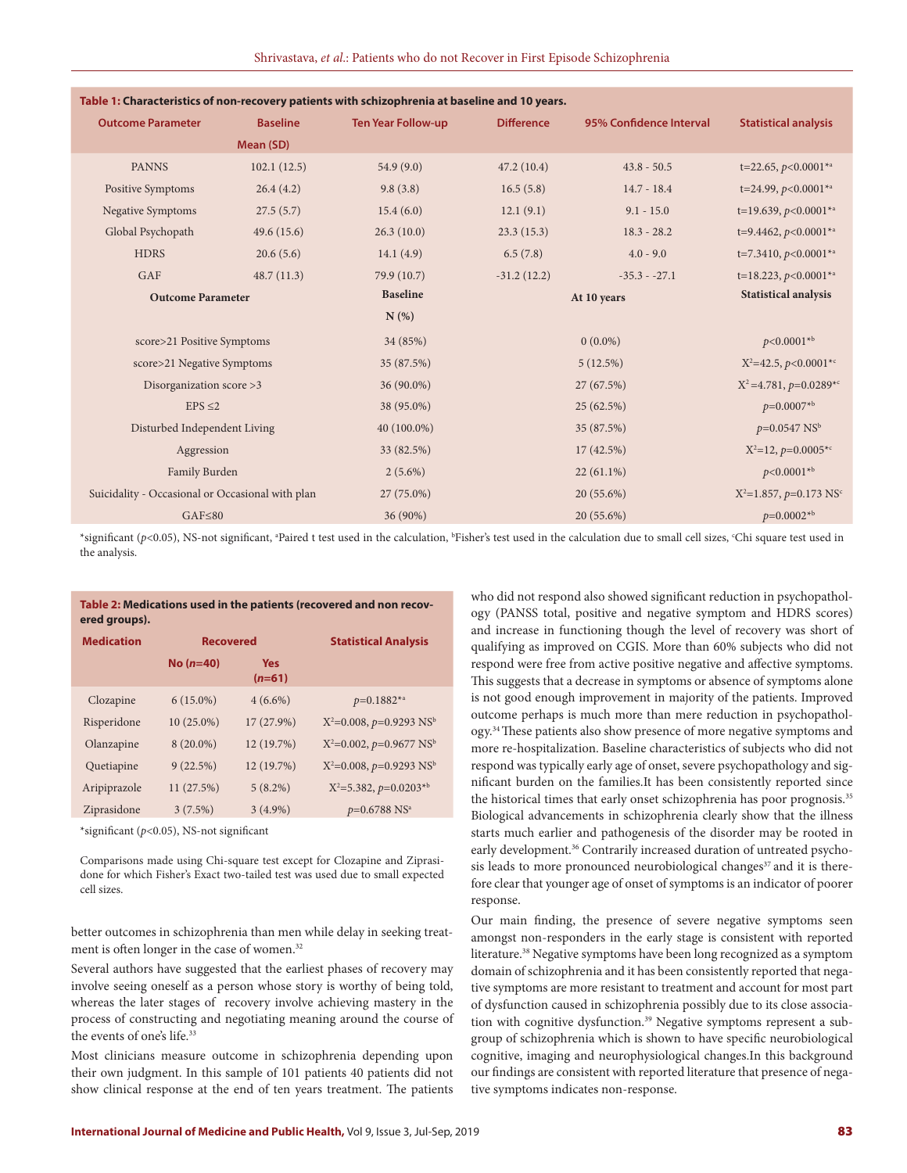| Table 1: Characteristics of non-recovery patients with schizophrenia at baseline and 10 years. |                          |                 |                           |                   |                                          |                                    |
|------------------------------------------------------------------------------------------------|--------------------------|-----------------|---------------------------|-------------------|------------------------------------------|------------------------------------|
|                                                                                                | <b>Outcome Parameter</b> | <b>Baseline</b> | <b>Ten Year Follow-up</b> | <b>Difference</b> | 95% Confidence Interval                  | <b>Statistical analysis</b>        |
|                                                                                                |                          | Mean (SD)       |                           |                   |                                          |                                    |
|                                                                                                | <b>PANNS</b>             | 102.1(12.5)     | 54.9(9.0)                 | 47.2(10.4)        | $43.8 - 50.5$                            | t=22.65, $p<0.0001**$              |
|                                                                                                | Positive Symptoms        | 26.4(4.2)       | 9.8(3.8)                  | 16.5(5.8)         | $14.7 - 18.4$                            | t=24.99, $p<0.0001**$              |
|                                                                                                | <b>Negative Symptoms</b> | 27.5(5.7)       | 15.4(6.0)                 | 12.1(9.1)         | $9.1 - 15.0$                             | t=19.639, $p<0.0001$ <sup>*a</sup> |
|                                                                                                | Global Psychopath        | 49.6(15.6)      | 26.3(10.0)                | 23.3(15.3)        | $18.3 - 28.2$                            | t=9.4462, $p<0.0001$ <sup>*a</sup> |
|                                                                                                | <b>HDRS</b>              | 20.6(5.6)       | 14.1 $(4.9)$              | 6.5(7.8)          | $4.0 - 9.0$                              | $t=7.3410, p<0.0001**$             |
|                                                                                                | GAF                      | 48.7(11.3)      | 79.9 (10.7)               | $-31.2(12.2)$     | $-35.3 - -27.1$                          | $t=18.223, p<0.0001^{*a}$          |
| <b>Outcome Parameter</b>                                                                       |                          | <b>Baseline</b> | At 10 years               |                   | <b>Statistical analysis</b>              |                                    |
|                                                                                                |                          |                 | $N(\%)$                   |                   |                                          |                                    |
| score>21 Positive Symptoms                                                                     |                          | 34 (85%)        | $0(0.0\%)$                |                   | $p<0.0001*^{b}$                          |                                    |
| score>21 Negative Symptoms                                                                     |                          | 35 (87.5%)      | 5(12.5%)                  |                   | $X^2 = 42.5$ , $p < 0.0001^{*c}$         |                                    |
| Disorganization score >3                                                                       |                          | 36 (90.0%)      | 27 (67.5%)                |                   | $X^2 = 4.781$ , $p=0.0289$ <sup>*c</sup> |                                    |
| $EPS \leq 2$                                                                                   |                          | 38 (95.0%)      | 25(62.5%)                 |                   | $p=0.0007*^{b}$                          |                                    |
| Disturbed Independent Living                                                                   |                          |                 | 40 (100.0%)               | 35 (87.5%)        |                                          | $p=0.0547$ NS <sup>b</sup>         |
| Aggression                                                                                     |                          |                 | 33 (82.5%)                | 17(42.5%)         |                                          | $X^2=12$ , $p=0.0005^{*c}$         |
| Family Burden                                                                                  |                          |                 | $2(5.6\%)$                | $22(61.1\%)$      |                                          | $p<0.0001*^{b}$                    |
| Suicidality - Occasional or Occasional with plan                                               |                          | 27 (75.0%)      | 20 (55.6%)                |                   | $X^2=1.857, p=0.173$ NS <sup>c</sup>     |                                    |
| $GAF \leq 80$                                                                                  |                          | 36 (90%)        | 20 (55.6%)                |                   | $p=0.0002**b$                            |                                    |
|                                                                                                |                          |                 |                           |                   |                                          |                                    |

#### **Table 1: Characteristics of non-recovery patients with schizophrenia at baseline and 10 years.**

\*significant (p<0.05), NS-not significant, <sup>a</sup>Paired t test used in the calculation, <sup>b</sup>Fisher's test used in the calculation due to small cell sizes, °Chi square test used in the analysis.

#### **Table 2: Medications used in the patients (recovered and non recovered groups).**

| <b>Medication</b> | <b>Recovered</b> |                        | <b>Statistical Analysis</b>                |  |
|-------------------|------------------|------------------------|--------------------------------------------|--|
|                   | $No(n=40)$       | <b>Yes</b><br>$(n=61)$ |                                            |  |
| Clozapine         | $6(15.0\%)$      | $4(6.6\%)$             | $p=0.1882^{*a}$                            |  |
| Risperidone       | $10(25.0\%)$     | $17(27.9\%)$           | $X^2=0.008$ , $p=0.9293$ NS <sup>b</sup>   |  |
| Olanzapine        | $8(20.0\%)$      | 12(19.7%)              | $X^2=0.002$ , $p=0.9677$ NS <sup>b</sup>   |  |
| Quetiapine        | 9(22.5%)         | 12 (19.7%)             | $X^2=0.008$ , $p=0.9293$ NS <sup>b</sup>   |  |
| Aripiprazole      | 11(27.5%)        | $5(8.2\%)$             | $X^2 = 5.382$ , $p = 0.0203$ <sup>*b</sup> |  |
| Ziprasidone       | 3(7.5%)          | $3(4.9\%)$             | $p=0.6788$ NS <sup>a</sup>                 |  |

\*significant (*p*<0.05), NS-not significant

Comparisons made using Chi-square test except for Clozapine and Ziprasidone for which Fisher's Exact two-tailed test was used due to small expected cell sizes.

better outcomes in schizophrenia than men while delay in seeking treatment is often longer in the case of women.<sup>32</sup>

Several authors have suggested that the earliest phases of recovery may involve seeing oneself as a person whose story is worthy of being told, whereas the later stages of recovery involve achieving mastery in the process of constructing and negotiating meaning around the course of the events of one's life.<sup>33</sup>

Most clinicians measure outcome in schizophrenia depending upon their own judgment. In this sample of 101 patients 40 patients did not show clinical response at the end of ten years treatment. The patients

who did not respond also showed significant reduction in psychopathology (PANSS total, positive and negative symptom and HDRS scores) and increase in functioning though the level of recovery was short of qualifying as improved on CGIS. More than 60% subjects who did not respond were free from active positive negative and affective symptoms. This suggests that a decrease in symptoms or absence of symptoms alone is not good enough improvement in majority of the patients. Improved outcome perhaps is much more than mere reduction in psychopathology.34 These patients also show presence of more negative symptoms and more re-hospitalization. Baseline characteristics of subjects who did not respond was typically early age of onset, severe psychopathology and significant burden on the families.It has been consistently reported since the historical times that early onset schizophrenia has poor prognosis.<sup>35</sup> Biological advancements in schizophrenia clearly show that the illness starts much earlier and pathogenesis of the disorder may be rooted in early development.<sup>36</sup> Contrarily increased duration of untreated psychosis leads to more pronounced neurobiological changes<sup>37</sup> and it is therefore clear that younger age of onset of symptoms is an indicator of poorer response.

Our main finding, the presence of severe negative symptoms seen amongst non-responders in the early stage is consistent with reported literature.38 Negative symptoms have been long recognized as a symptom domain of schizophrenia and it has been consistently reported that negative symptoms are more resistant to treatment and account for most part of dysfunction caused in schizophrenia possibly due to its close association with cognitive dysfunction.<sup>39</sup> Negative symptoms represent a subgroup of schizophrenia which is shown to have specific neurobiological cognitive, imaging and neurophysiological changes.In this background our findings are consistent with reported literature that presence of negative symptoms indicates non-response.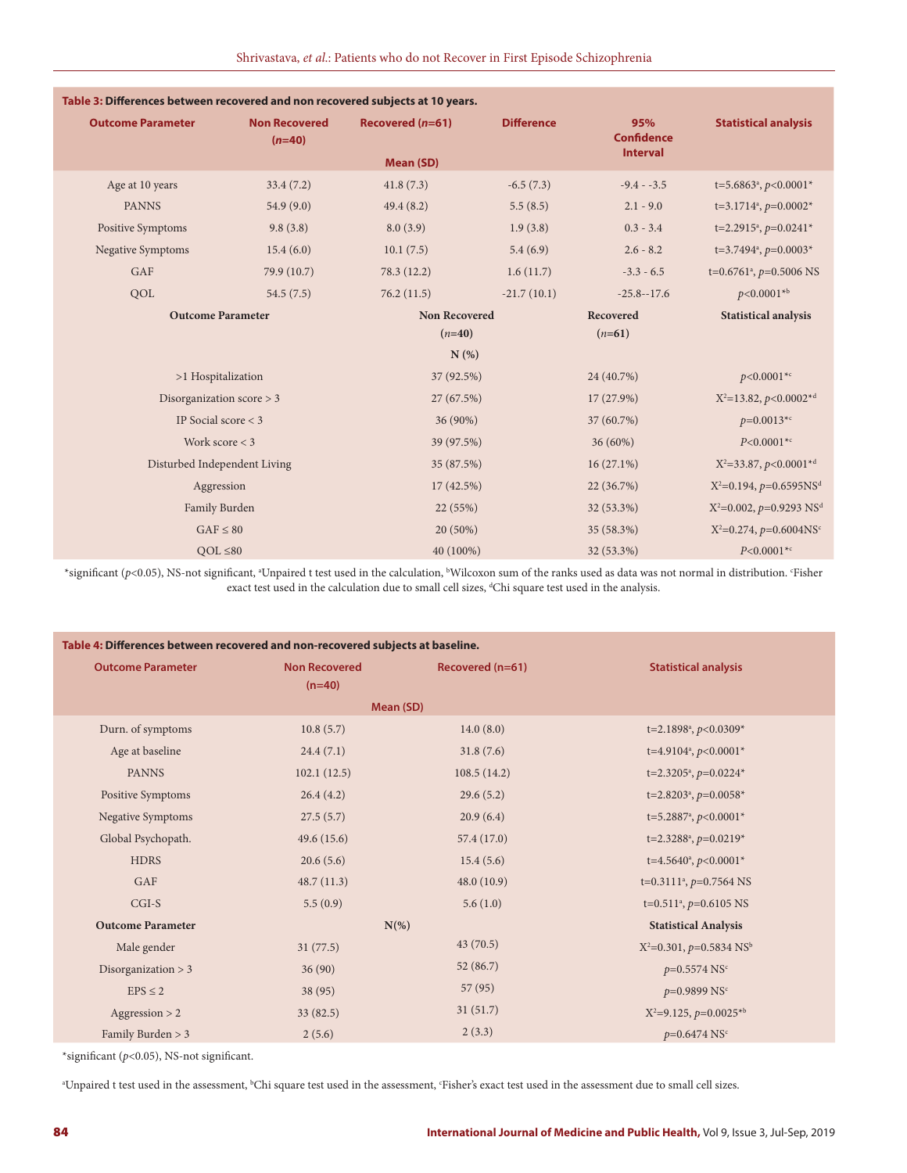| Table 3: Differences between recovered and non recovered subjects at 10 years. |                                  |                      |                   |                          |                                          |
|--------------------------------------------------------------------------------|----------------------------------|----------------------|-------------------|--------------------------|------------------------------------------|
| <b>Outcome Parameter</b>                                                       | <b>Non Recovered</b><br>$(n=40)$ | Recovered (n=61)     | <b>Difference</b> | 95%<br><b>Confidence</b> | <b>Statistical analysis</b>              |
|                                                                                |                                  | <b>Mean (SD)</b>     |                   | <b>Interval</b>          |                                          |
| Age at 10 years                                                                | 33.4(7.2)                        | 41.8(7.3)            | $-6.5(7.3)$       | $-9.4 - -3.5$            | t=5.6863 <sup>a</sup> , $p<0.0001*$      |
| <b>PANNS</b>                                                                   | 54.9(9.0)                        | 49.4(8.2)            | 5.5(8.5)          | $2.1 - 9.0$              | $t=3.1714^a$ , $p=0.0002^*$              |
| Positive Symptoms                                                              | 9.8(3.8)                         | 8.0(3.9)             | 1.9(3.8)          | $0.3 - 3.4$              | t=2.2915 <sup>a</sup> , $p=0.0241*$      |
| <b>Negative Symptoms</b>                                                       | 15.4(6.0)                        | 10.1(7.5)            | 5.4(6.9)          | $2.6 - 8.2$              | t=3.7494 <sup>a</sup> , $p=0.0003*$      |
| GAF                                                                            | 79.9 (10.7)                      | 78.3 (12.2)          | 1.6(11.7)         | $-3.3 - 6.5$             | t=0.6761 <sup>a</sup> , $p=0.5006$ NS    |
| QOL                                                                            | 54.5(7.5)                        | 76.2(11.5)           | $-21.7(10.1)$     | $-25.8 - 17.6$           | $p<0.0001*^{b}$                          |
| <b>Outcome Parameter</b>                                                       |                                  | <b>Non Recovered</b> |                   | Recovered                | <b>Statistical analysis</b>              |
|                                                                                |                                  | $(n=40)$             |                   | $(n=61)$                 |                                          |
|                                                                                |                                  | N(%)                 |                   |                          |                                          |
| >1 Hospitalization                                                             |                                  | 37 (92.5%)           |                   | 24 (40.7%)               | $p<0.0001^{*c}$                          |
| Disorganization score $>$ 3                                                    |                                  | 27 (67.5%)           |                   | 17 (27.9%)               | $X^2=13.82, p<0.0002^{*d}$               |
| IP Social score $<$ 3                                                          |                                  | 36 (90%)             |                   | 37 (60.7%)               | $p=0.0013*$                              |
| Work score $<$ 3                                                               | 39 (97.5%)                       |                      | 36 (60%)          | $P < 0.0001^{*c}$        |                                          |
| Disturbed Independent Living                                                   |                                  | 35 (87.5%)           |                   | $16(27.1\%)$             | $X^2 = 33.87, p < 0.0001^{*d}$           |
| Aggression                                                                     |                                  | 17(42.5%)            |                   | 22 (36.7%)               | $X^2=0.194$ , $p=0.6595NSd$              |
| Family Burden                                                                  |                                  | 22(55%)              |                   | 32 (53.3%)               | $X^2=0.002$ , $p=0.9293$ NS <sup>d</sup> |
| $GAF \leq 80$                                                                  |                                  | 20 (50%)             |                   | 35 (58.3%)               | $X^2=0.274$ , $p=0.6004$ NS <sup>c</sup> |
| $QOL \leq 80$                                                                  |                                  |                      | 40 (100%)         |                          | $P < 0.0001^{*c}$                        |

\*significant (p<0.05), NS-not significant, <sup>a</sup>Unpaired t test used in the calculation, <sup>b</sup>Wilcoxon sum of the ranks used as data was not normal in distribution. Fisher exact test used in the calculation due to small cell sizes, <sup>a</sup>Chi square test used in the analysis.

| Table 4: Differences between recovered and non-recovered subjects at baseline. |                                  |                  |                                          |  |  |
|--------------------------------------------------------------------------------|----------------------------------|------------------|------------------------------------------|--|--|
| <b>Outcome Parameter</b>                                                       | <b>Non Recovered</b><br>$(n=40)$ | Recovered (n=61) | <b>Statistical analysis</b>              |  |  |
| Mean (SD)                                                                      |                                  |                  |                                          |  |  |
| Durn. of symptoms                                                              | 10.8(5.7)                        | 14.0(8.0)        | t=2.1898 <sup>a</sup> , $p < 0.0309$ *   |  |  |
| Age at baseline                                                                | 24.4(7.1)                        | 31.8(7.6)        | t=4.9104 <sup>a</sup> , $p<0.0001*$      |  |  |
| <b>PANNS</b>                                                                   | 102.1(12.5)                      | 108.5(14.2)      | t=2.3205 <sup>a</sup> , $p=0.0224*$      |  |  |
| Positive Symptoms                                                              | 26.4(4.2)                        | 29.6(5.2)        | t=2.8203 <sup>a</sup> , $p=0.0058*$      |  |  |
| <b>Negative Symptoms</b>                                                       | 27.5(5.7)                        | 20.9(6.4)        | t=5.2887 <sup>a</sup> , $p<0.0001*$      |  |  |
| Global Psychopath.                                                             | 49.6(15.6)                       | 57.4(17.0)       | t=2.3288 <sup>a</sup> , $p=0.0219*$      |  |  |
| <b>HDRS</b>                                                                    | 20.6(5.6)                        | 15.4(5.6)        | t=4.5640 <sup>a</sup> , $p<0.0001*$      |  |  |
| GAF                                                                            | 48.7(11.3)                       | 48.0(10.9)       | t=0.3111 <sup>a</sup> , $p=0.7564$ NS    |  |  |
| $CGI-S$                                                                        | 5.5(0.9)                         | 5.6(1.0)         | t=0.511 <sup>a</sup> , $p=0.6105$ NS     |  |  |
| <b>Outcome Parameter</b><br>$N(\%)$                                            |                                  |                  | <b>Statistical Analysis</b>              |  |  |
| Male gender                                                                    | 31(77.5)                         | 43(70.5)         | $X^2=0.301$ , $p=0.5834$ NS <sup>b</sup> |  |  |
| Disorganization $>$ 3                                                          | 36(90)                           | 52(86.7)         | $p=0.5574$ NS <sup>c</sup>               |  |  |
| $EPS \leq 2$                                                                   | 38(95)                           | 57(95)           | $p=0.9899$ NS <sup>c</sup>               |  |  |
| Aggression $> 2$                                                               | 33(82.5)                         | 31(51.7)         | $X^2=9.125$ , $p=0.0025^{*b}$            |  |  |
| Family Burden $>$ 3                                                            | 2(5.6)                           | 2(3.3)           | $p=0.6474$ NS <sup>c</sup>               |  |  |

\*significant (*p*<0.05), NS-not significant.

<sup>a</sup>Unpaired t test used in the assessment, <sup>b</sup>Chi square test used in the assessment, 'Fisher's exact test used in the assessment due to small cell sizes.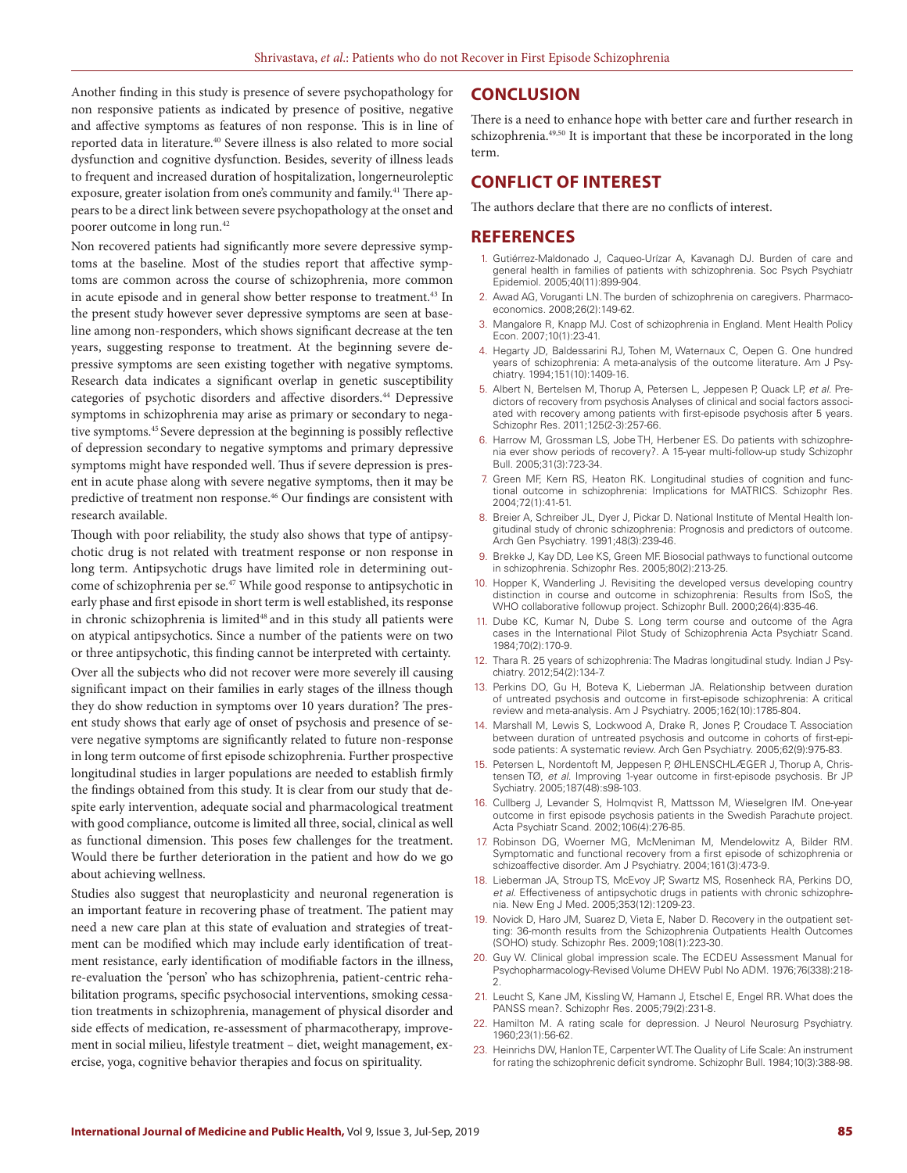Another finding in this study is presence of severe psychopathology for non responsive patients as indicated by presence of positive, negative and affective symptoms as features of non response. This is in line of reported data in literature.40 Severe illness is also related to more social dysfunction and cognitive dysfunction. Besides, severity of illness leads to frequent and increased duration of hospitalization, longerneuroleptic exposure, greater isolation from one's community and family.<sup>41</sup> There appears to be a direct link between severe psychopathology at the onset and poorer outcome in long run.42

Non recovered patients had significantly more severe depressive symptoms at the baseline. Most of the studies report that affective symptoms are common across the course of schizophrenia, more common in acute episode and in general show better response to treatment.<sup>43</sup> In the present study however sever depressive symptoms are seen at baseline among non-responders, which shows significant decrease at the ten years, suggesting response to treatment. At the beginning severe depressive symptoms are seen existing together with negative symptoms. Research data indicates a significant overlap in genetic susceptibility categories of psychotic disorders and affective disorders.<sup>44</sup> Depressive symptoms in schizophrenia may arise as primary or secondary to negative symptoms.45 Severe depression at the beginning is possibly reflective of depression secondary to negative symptoms and primary depressive symptoms might have responded well. Thus if severe depression is present in acute phase along with severe negative symptoms, then it may be predictive of treatment non response.<sup>46</sup> Our findings are consistent with research available.

Though with poor reliability, the study also shows that type of antipsychotic drug is not related with treatment response or non response in long term. Antipsychotic drugs have limited role in determining outcome of schizophrenia per se.47 While good response to antipsychotic in early phase and first episode in short term is well established, its response in chronic schizophrenia is limited<sup>48</sup> and in this study all patients were on atypical antipsychotics. Since a number of the patients were on two or three antipsychotic, this finding cannot be interpreted with certainty.

Over all the subjects who did not recover were more severely ill causing significant impact on their families in early stages of the illness though they do show reduction in symptoms over 10 years duration? The present study shows that early age of onset of psychosis and presence of severe negative symptoms are significantly related to future non-response in long term outcome of first episode schizophrenia. Further prospective longitudinal studies in larger populations are needed to establish firmly the findings obtained from this study. It is clear from our study that despite early intervention, adequate social and pharmacological treatment with good compliance, outcome is limited all three, social, clinical as well as functional dimension. This poses few challenges for the treatment. Would there be further deterioration in the patient and how do we go about achieving wellness.

Studies also suggest that neuroplasticity and neuronal regeneration is an important feature in recovering phase of treatment. The patient may need a new care plan at this state of evaluation and strategies of treatment can be modified which may include early identification of treatment resistance, early identification of modifiable factors in the illness, re-evaluation the 'person' who has schizophrenia, patient-centric rehabilitation programs, specific psychosocial interventions, smoking cessation treatments in schizophrenia, management of physical disorder and side effects of medication, re-assessment of pharmacotherapy, improvement in social milieu, lifestyle treatment – diet, weight management, exercise, yoga, cognitive behavior therapies and focus on spirituality.

### **CONCLUSION**

There is a need to enhance hope with better care and further research in schizophrenia.<sup>49,50</sup> It is important that these be incorporated in the long term.

## **CONFLICT OF INTEREST**

The authors declare that there are no conflicts of interest.

### **REFERENCES**

- 1. Gutiérrez-Maldonado J, Caqueo-Urízar A, Kavanagh DJ. Burden of care and general health in families of patients with schizophrenia. Soc Psych Psychiatr Epidemiol. 2005;40(11):899-904.
- 2. Awad AG, Voruganti LN. The burden of schizophrenia on caregivers. Pharmacoeconomics. 2008;26(2):149-62.
- 3. Mangalore R, Knapp MJ. Cost of schizophrenia in England. Ment Health Policy Econ. 2007;10(1):23-41.
- 4. Hegarty JD, Baldessarini RJ, Tohen M, Waternaux C, Oepen G. One hundred years of schizophrenia: A meta-analysis of the outcome literature. Am J Psychiatry. 1994;151(10):1409-16.
- 5. Albert N, Bertelsen M, Thorup A, Petersen L, Jeppesen P, Quack LP, *et al*. Predictors of recovery from psychosis Analyses of clinical and social factors associated with recovery among patients with first-episode psychosis after 5 years. Schizophr Res. 2011;125(2-3):257-66.
- 6. Harrow M, Grossman LS, Jobe TH, Herbener ES. Do patients with schizophrenia ever show periods of recovery?. A 15-year multi-follow-up study Schizophr Bull. 2005;31(3):723-34.
- 7. Green MF, Kern RS, Heaton RK. Longitudinal studies of cognition and functional outcome in schizophrenia: Implications for MATRICS. Schizophr Res. 2004;72(1):41-51.
- 8. Breier A, Schreiber JL, Dyer J, Pickar D. National Institute of Mental Health longitudinal study of chronic schizophrenia: Prognosis and predictors of outcome. Arch Gen Psychiatry. 1991;48(3):239-46.
- 9. Brekke J, Kay DD, Lee KS, Green MF. Biosocial pathways to functional outcome in schizophrenia. Schizophr Res. 2005;80(2):213-25.
- 10. Hopper K, Wanderling J. Revisiting the developed versus developing country distinction in course and outcome in schizophrenia: Results from ISoS, the WHO collaborative followup project. Schizophr Bull. 2000;26(4):835-46.
- 11. Dube KC, Kumar N, Dube S. Long term course and outcome of the Agra cases in the International Pilot Study of Schizophrenia Acta Psychiatr Scand. 1984;70(2):170-9.
- 12. Thara R. 25 years of schizophrenia: The Madras longitudinal study. Indian J Psychiatry. 2012;54(2):134-7.
- 13. Perkins DO, Gu H, Boteva K, Lieberman JA. Relationship between duration of untreated psychosis and outcome in first-episode schizophrenia: A critical review and meta-analysis. Am J Psychiatry. 2005;162(10):1785-804.
- 14. Marshall M, Lewis S, Lockwood A, Drake R, Jones P, Croudace T. Association between duration of untreated psychosis and outcome in cohorts of first-episode patients: A systematic review. Arch Gen Psychiatry. 2005;62(9):975-83.
- 15. Petersen L, Nordentoft M, Jeppesen P, ØHLENSCHLÆGER J, Thorup A, Christensen TØ, *et al*. Improving 1-year outcome in first-episode psychosis. Br JP Sychiatry. 2005;187(48):s98-103.
- 16. Cullberg J, Levander S, Holmqvist R, Mattsson M, Wieselgren IM. One‐year outcome in first episode psychosis patients in the Swedish Parachute project. Acta Psychiatr Scand. 2002;106(4):276-85.
- 17. Robinson DG, Woerner MG, McMeniman M, Mendelowitz A, Bilder RM. Symptomatic and functional recovery from a first episode of schizophrenia or schizoaffective disorder. Am J Psychiatry. 2004;161(3):473-9.
- 18. Lieberman JA, Stroup TS, McEvoy JP, Swartz MS, Rosenheck RA, Perkins DO, *et al*. Effectiveness of antipsychotic drugs in patients with chronic schizophrenia. New Eng J Med. 2005;353(12):1209-23.
- 19. Novick D, Haro JM, Suarez D, Vieta E, Naber D. Recovery in the outpatient setting: 36-month results from the Schizophrenia Outpatients Health Outcomes (SOHO) study. Schizophr Res. 2009;108(1):223-30.
- 20. Guy W. Clinical global impression scale. The ECDEU Assessment Manual for Psychopharmacology-Revised Volume DHEW Publ No ADM. 1976;76(338):218- 2.
- 21. Leucht S, Kane JM, Kissling W, Hamann J, Etschel E, Engel RR. What does the PANSS mean?. Schizophr Res. 2005;79(2):231-8.
- 22. Hamilton M. A rating scale for depression. J Neurol Neurosurg Psychiatry. 1960;23(1):56-62.
- 23. Heinrichs DW, Hanlon TE, Carpenter WT. The Quality of Life Scale: An instrument for rating the schizophrenic deficit syndrome. Schizophr Bull. 1984;10(3):388-98.